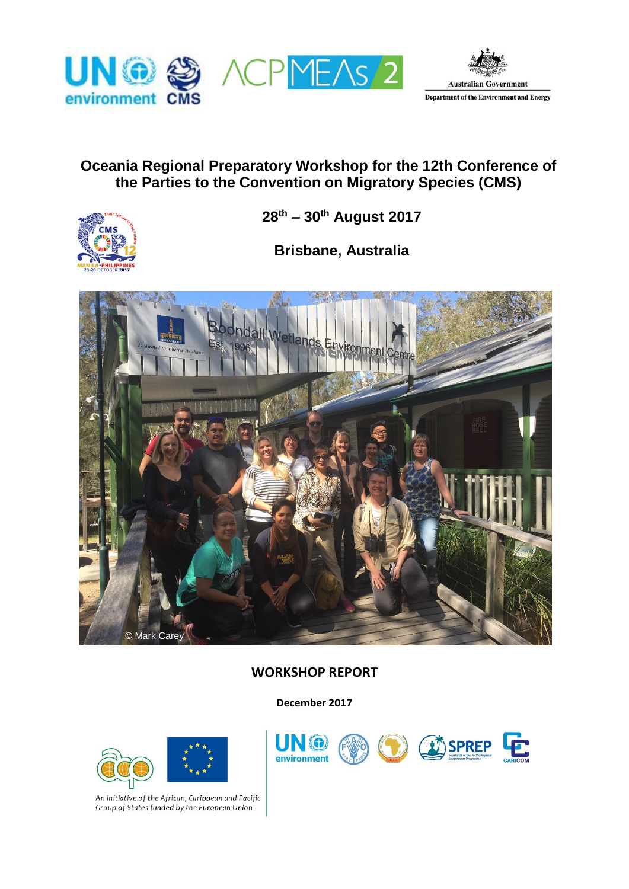





# **Oceania Regional Preparatory Workshop for the 12th Conference of the Parties to the Convention on Migratory Species (CMS)**



**28th – 30th August 2017**

**Brisbane, Australia**



# **WORKSHOP REPORT**

**December 2017**



An initiative of the African, Caribbean and Pacific Group of States funded by the European Union

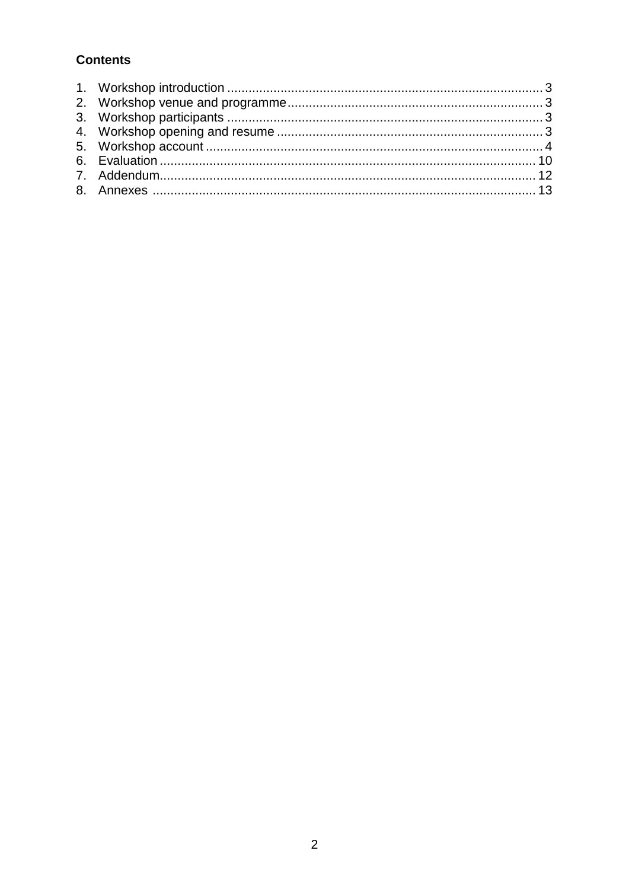# **Contents**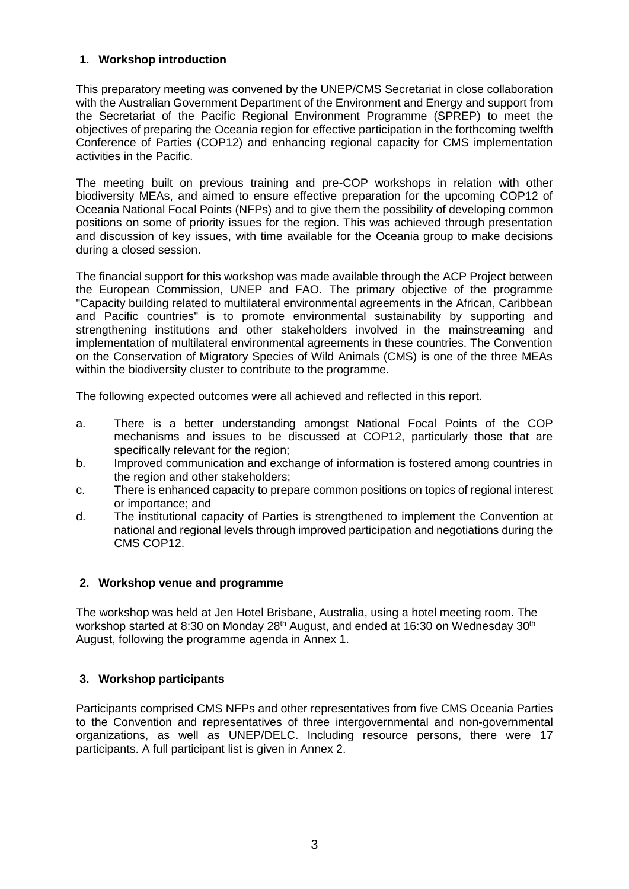### **1. Workshop introduction**

This preparatory meeting was convened by the UNEP/CMS Secretariat in close collaboration with the Australian Government Department of the Environment and Energy and support from the Secretariat of the Pacific Regional Environment Programme (SPREP) to meet the objectives of preparing the Oceania region for effective participation in the forthcoming twelfth Conference of Parties (COP12) and enhancing regional capacity for CMS implementation activities in the Pacific.

The meeting built on previous training and pre-COP workshops in relation with other biodiversity MEAs, and aimed to ensure effective preparation for the upcoming COP12 of Oceania National Focal Points (NFPs) and to give them the possibility of developing common positions on some of priority issues for the region. This was achieved through presentation and discussion of key issues, with time available for the Oceania group to make decisions during a closed session.

The financial support for this workshop was made available through the ACP Project between the European Commission, UNEP and FAO. The primary objective of the programme "Capacity building related to multilateral environmental agreements in the African, Caribbean and Pacific countries" is to promote environmental sustainability by supporting and strengthening institutions and other stakeholders involved in the mainstreaming and implementation of multilateral environmental agreements in these countries. The Convention on the Conservation of Migratory Species of Wild Animals (CMS) is one of the three MEAs within the biodiversity cluster to contribute to the programme.

The following expected outcomes were all achieved and reflected in this report.

- a. There is a better understanding amongst National Focal Points of the COP mechanisms and issues to be discussed at COP12, particularly those that are specifically relevant for the region;
- b. Improved communication and exchange of information is fostered among countries in the region and other stakeholders;
- c. There is enhanced capacity to prepare common positions on topics of regional interest or importance; and
- d. The institutional capacity of Parties is strengthened to implement the Convention at national and regional levels through improved participation and negotiations during the CMS COP12.

# **2. Workshop venue and programme**

The workshop was held at Jen Hotel Brisbane, Australia, using a hotel meeting room. The workshop started at 8:30 on Monday 28<sup>th</sup> August, and ended at 16:30 on Wednesday 30<sup>th</sup> August, following the programme agenda in Annex 1.

# **3. Workshop participants**

Participants comprised CMS NFPs and other representatives from five CMS Oceania Parties to the Convention and representatives of three intergovernmental and non-governmental organizations, as well as UNEP/DELC. Including resource persons, there were 17 participants. A full participant list is given in Annex 2.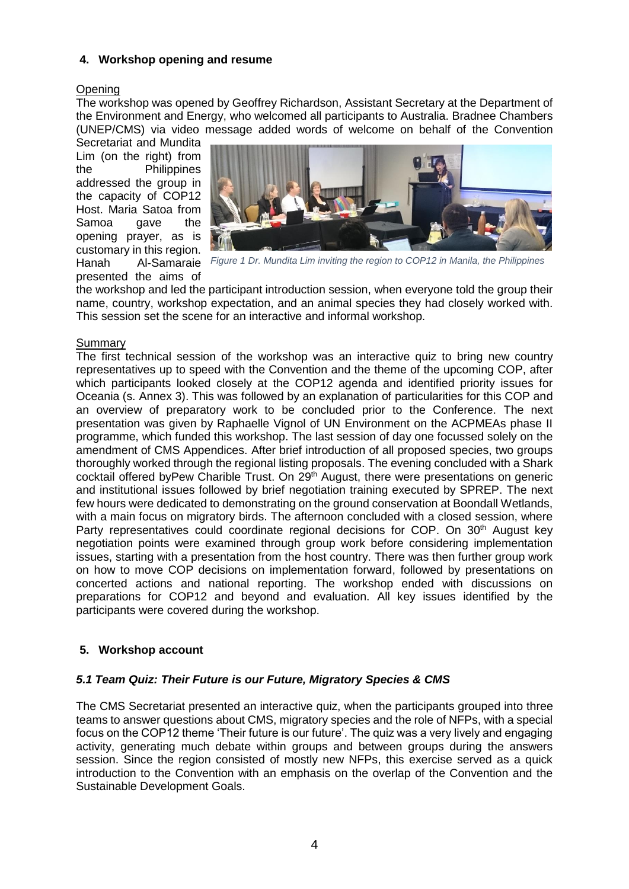### **4. Workshop opening and resume**

#### **Opening**

The workshop was opened by Geoffrey Richardson, Assistant Secretary at the Department of the Environment and Energy, who welcomed all participants to Australia. Bradnee Chambers (UNEP/CMS) via video message added words of welcome on behalf of the Convention Secretariat and Mundita

Lim (on the right) from the Philippines addressed the group in the capacity of COP12 Host. Maria Satoa from Samoa gave the opening prayer, as is customary in this region. presented the aims of



Hanah Al-Samaraie *Figure 1 Dr. Mundita Lim inviting the region to COP12 in Manila, the Philippines*

the workshop and led the participant introduction session, when everyone told the group their name, country, workshop expectation, and an animal species they had closely worked with. This session set the scene for an interactive and informal workshop.

#### Summary

The first technical session of the workshop was an interactive quiz to bring new country representatives up to speed with the Convention and the theme of the upcoming COP, after which participants looked closely at the COP12 agenda and identified priority issues for Oceania (s. Annex 3). This was followed by an explanation of particularities for this COP and an overview of preparatory work to be concluded prior to the Conference. The next presentation was given by Raphaelle Vignol of UN Environment on the ACPMEAs phase II programme, which funded this workshop. The last session of day one focussed solely on the amendment of CMS Appendices. After brief introduction of all proposed species, two groups thoroughly worked through the regional listing proposals. The evening concluded with a Shark cocktail offered byPew Charible Trust. On 29th August, there were presentations on generic and institutional issues followed by brief negotiation training executed by SPREP. The next few hours were dedicated to demonstrating on the ground conservation at Boondall Wetlands, with a main focus on migratory birds. The afternoon concluded with a closed session, where Party representatives could coordinate regional decisions for COP. On 30<sup>th</sup> August key negotiation points were examined through group work before considering implementation issues, starting with a presentation from the host country. There was then further group work on how to move COP decisions on implementation forward, followed by presentations on concerted actions and national reporting. The workshop ended with discussions on preparations for COP12 and beyond and evaluation. All key issues identified by the participants were covered during the workshop.

# **5. Workshop account**

# *5.1 Team Quiz: Their Future is our Future, Migratory Species & CMS*

The CMS Secretariat presented an interactive quiz, when the participants grouped into three teams to answer questions about CMS, migratory species and the role of NFPs, with a special focus on the COP12 theme 'Their future is our future'. The quiz was a very lively and engaging activity, generating much debate within groups and between groups during the answers session. Since the region consisted of mostly new NFPs, this exercise served as a quick introduction to the Convention with an emphasis on the overlap of the Convention and the Sustainable Development Goals.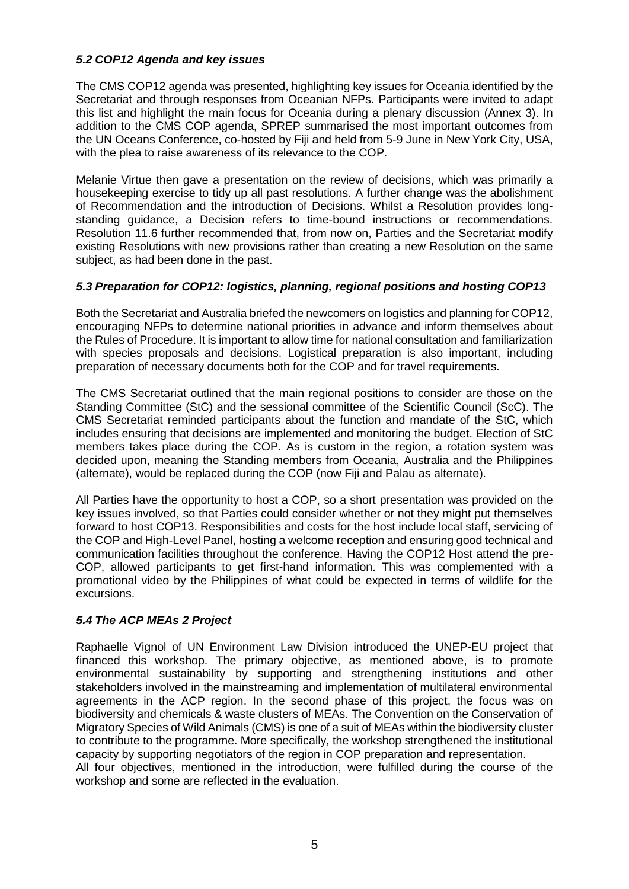### *5.2 COP12 Agenda and key issues*

The CMS COP12 agenda was presented, highlighting key issues for Oceania identified by the Secretariat and through responses from Oceanian NFPs. Participants were invited to adapt this list and highlight the main focus for Oceania during a plenary discussion (Annex 3). In addition to the CMS COP agenda, SPREP summarised the most important outcomes from the UN Oceans Conference, co-hosted by Fiji and held from 5-9 June in New York City, USA, with the plea to raise awareness of its relevance to the COP.

Melanie Virtue then gave a presentation on the review of decisions, which was primarily a housekeeping exercise to tidy up all past resolutions. A further change was the abolishment of Recommendation and the introduction of Decisions. Whilst a Resolution provides longstanding guidance, a Decision refers to time-bound instructions or recommendations. Resolution 11.6 further recommended that, from now on, Parties and the Secretariat modify existing Resolutions with new provisions rather than creating a new Resolution on the same subject, as had been done in the past.

### *5.3 Preparation for COP12: logistics, planning, regional positions and hosting COP13*

Both the Secretariat and Australia briefed the newcomers on logistics and planning for COP12, encouraging NFPs to determine national priorities in advance and inform themselves about the Rules of Procedure. It is important to allow time for national consultation and familiarization with species proposals and decisions. Logistical preparation is also important, including preparation of necessary documents both for the COP and for travel requirements.

The CMS Secretariat outlined that the main regional positions to consider are those on the Standing Committee (StC) and the sessional committee of the Scientific Council (ScC). The CMS Secretariat reminded participants about the function and mandate of the StC, which includes ensuring that decisions are implemented and monitoring the budget. Election of StC members takes place during the COP. As is custom in the region, a rotation system was decided upon, meaning the Standing members from Oceania, Australia and the Philippines (alternate), would be replaced during the COP (now Fiji and Palau as alternate).

All Parties have the opportunity to host a COP, so a short presentation was provided on the key issues involved, so that Parties could consider whether or not they might put themselves forward to host COP13. Responsibilities and costs for the host include local staff, servicing of the COP and High-Level Panel, hosting a welcome reception and ensuring good technical and communication facilities throughout the conference. Having the COP12 Host attend the pre-COP, allowed participants to get first-hand information. This was complemented with a promotional video by the Philippines of what could be expected in terms of wildlife for the excursions.

# *5.4 The ACP MEAs 2 Project*

Raphaelle Vignol of UN Environment Law Division introduced the UNEP-EU project that financed this workshop. The primary objective, as mentioned above, is to promote environmental sustainability by supporting and strengthening institutions and other stakeholders involved in the mainstreaming and implementation of multilateral environmental agreements in the ACP region. In the second phase of this project, the focus was on biodiversity and chemicals & waste clusters of MEAs. The Convention on the Conservation of Migratory Species of Wild Animals (CMS) is one of a suit of MEAs within the biodiversity cluster to contribute to the programme. More specifically, the workshop strengthened the institutional capacity by supporting negotiators of the region in COP preparation and representation. All four objectives, mentioned in the introduction, were fulfilled during the course of the workshop and some are reflected in the evaluation.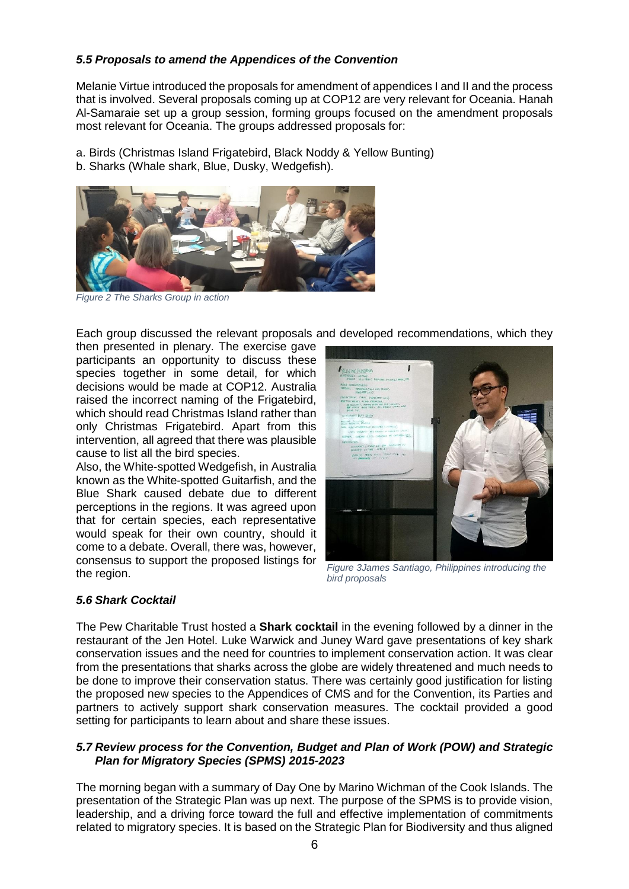### *5.5 Proposals to amend the Appendices of the Convention*

Melanie Virtue introduced the proposals for amendment of appendices I and II and the process that is involved. Several proposals coming up at COP12 are very relevant for Oceania. Hanah Al-Samaraie set up a group session, forming groups focused on the amendment proposals most relevant for Oceania. The groups addressed proposals for:

a. Birds (Christmas Island Frigatebird, Black Noddy & Yellow Bunting)

b. Sharks (Whale shark, Blue, Dusky, Wedgefish).



*Figure 2 The Sharks Group in action*

Each group discussed the relevant proposals and developed recommendations, which they

then presented in plenary. The exercise gave participants an opportunity to discuss these species together in some detail, for which decisions would be made at COP12. Australia raised the incorrect naming of the Frigatebird, which should read Christmas Island rather than only Christmas Frigatebird. Apart from this intervention, all agreed that there was plausible cause to list all the bird species.

Also, the White-spotted Wedgefish, in Australia known as the White-spotted Guitarfish, and the Blue Shark caused debate due to different perceptions in the regions. It was agreed upon that for certain species, each representative would speak for their own country, should it come to a debate. Overall, there was, however, consensus to support the proposed listings for the region.



*Figure 3James Santiago, Philippines introducing the bird proposals*

# *5.6 Shark Cocktail*

The Pew Charitable Trust hosted a **Shark cocktail** in the evening followed by a dinner in the restaurant of the Jen Hotel. Luke Warwick and Juney Ward gave presentations of key shark conservation issues and the need for countries to implement conservation action. It was clear from the presentations that sharks across the globe are widely threatened and much needs to be done to improve their conservation status. There was certainly good justification for listing the proposed new species to the Appendices of CMS and for the Convention, its Parties and partners to actively support shark conservation measures. The cocktail provided a good setting for participants to learn about and share these issues.

#### *5.7 Review process for the Convention, Budget and Plan of Work (POW) and Strategic Plan for Migratory Species (SPMS) 2015-2023*

The morning began with a summary of Day One by Marino Wichman of the Cook Islands. The presentation of the Strategic Plan was up next. The purpose of the SPMS is to provide vision, leadership, and a driving force toward the full and effective implementation of commitments related to migratory species. It is based on the Strategic Plan for Biodiversity and thus aligned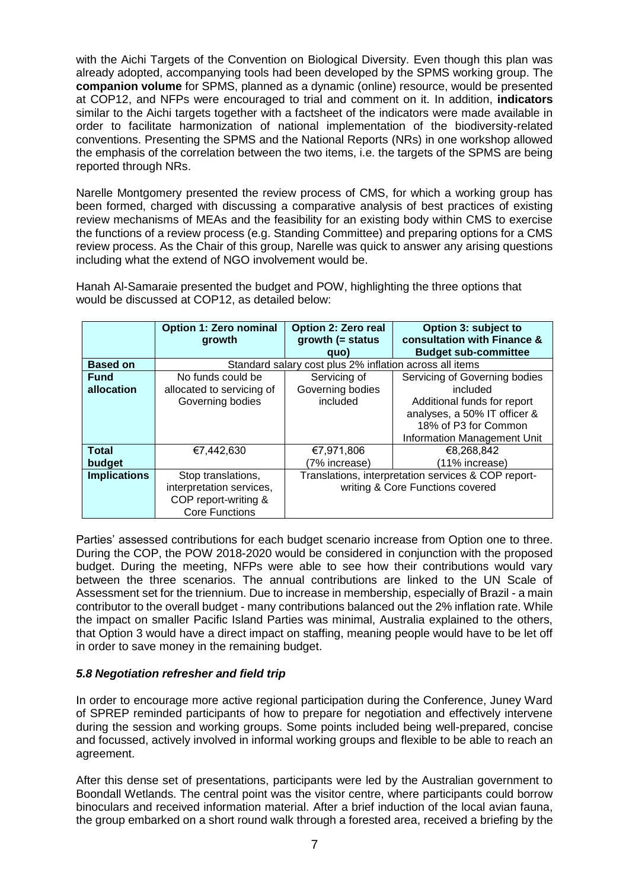with the Aichi Targets of the Convention on Biological Diversity. Even though this plan was already adopted, accompanying tools had been developed by the SPMS working group. The **companion volume** for SPMS, planned as a dynamic (online) resource, would be presented at COP12, and NFPs were encouraged to trial and comment on it. In addition, **indicators**  similar to the Aichi targets together with a factsheet of the indicators were made available in order to facilitate harmonization of national implementation of the biodiversity-related conventions. Presenting the SPMS and the National Reports (NRs) in one workshop allowed the emphasis of the correlation between the two items, i.e. the targets of the SPMS are being reported through NRs.

Narelle Montgomery presented the review process of CMS, for which a working group has been formed, charged with discussing a comparative analysis of best practices of existing review mechanisms of MEAs and the feasibility for an existing body within CMS to exercise the functions of a review process (e.g. Standing Committee) and preparing options for a CMS review process. As the Chair of this group, Narelle was quick to answer any arising questions including what the extend of NGO involvement would be.

Hanah Al-Samaraie presented the budget and POW, highlighting the three options that would be discussed at COP12, as detailed below:

|                     | <b>Option 1: Zero nominal</b><br>growth                 | Option 2: Zero real<br>growth $($ = status          | Option 3: subject to<br>consultation with Finance & |  |  |
|---------------------|---------------------------------------------------------|-----------------------------------------------------|-----------------------------------------------------|--|--|
|                     |                                                         | quo)                                                | <b>Budget sub-committee</b>                         |  |  |
| <b>Based on</b>     | Standard salary cost plus 2% inflation across all items |                                                     |                                                     |  |  |
| <b>Fund</b>         | No funds could be                                       | Servicing of                                        | Servicing of Governing bodies                       |  |  |
| allocation          | allocated to servicing of                               | Governing bodies                                    | included                                            |  |  |
|                     | Governing bodies                                        | included                                            | Additional funds for report                         |  |  |
|                     |                                                         |                                                     | analyses, a 50% IT officer &                        |  |  |
|                     |                                                         |                                                     | 18% of P3 for Common                                |  |  |
|                     |                                                         |                                                     | Information Management Unit                         |  |  |
| <b>Total</b>        | €7,442,630                                              | €7,971,806                                          | €8,268,842                                          |  |  |
| budget              |                                                         | (7% increase)                                       | (11% increase)                                      |  |  |
| <b>Implications</b> | Stop translations,                                      | Translations, interpretation services & COP report- |                                                     |  |  |
|                     | interpretation services,                                | writing & Core Functions covered                    |                                                     |  |  |
|                     | COP report-writing &                                    |                                                     |                                                     |  |  |
|                     | <b>Core Functions</b>                                   |                                                     |                                                     |  |  |

Parties' assessed contributions for each budget scenario increase from Option one to three. During the COP, the POW 2018-2020 would be considered in conjunction with the proposed budget. During the meeting, NFPs were able to see how their contributions would vary between the three scenarios. The annual contributions are linked to the UN Scale of Assessment set for the triennium. Due to increase in membership, especially of Brazil - a main contributor to the overall budget - many contributions balanced out the 2% inflation rate. While the impact on smaller Pacific Island Parties was minimal, Australia explained to the others, that Option 3 would have a direct impact on staffing, meaning people would have to be let off in order to save money in the remaining budget.

#### *5.8 Negotiation refresher and field trip*

In order to encourage more active regional participation during the Conference, Juney Ward of SPREP reminded participants of how to prepare for negotiation and effectively intervene during the session and working groups. Some points included being well-prepared, concise and focussed, actively involved in informal working groups and flexible to be able to reach an agreement.

After this dense set of presentations, participants were led by the Australian government to Boondall Wetlands. The central point was the visitor centre, where participants could borrow binoculars and received information material. After a brief induction of the local avian fauna, the group embarked on a short round walk through a forested area, received a briefing by the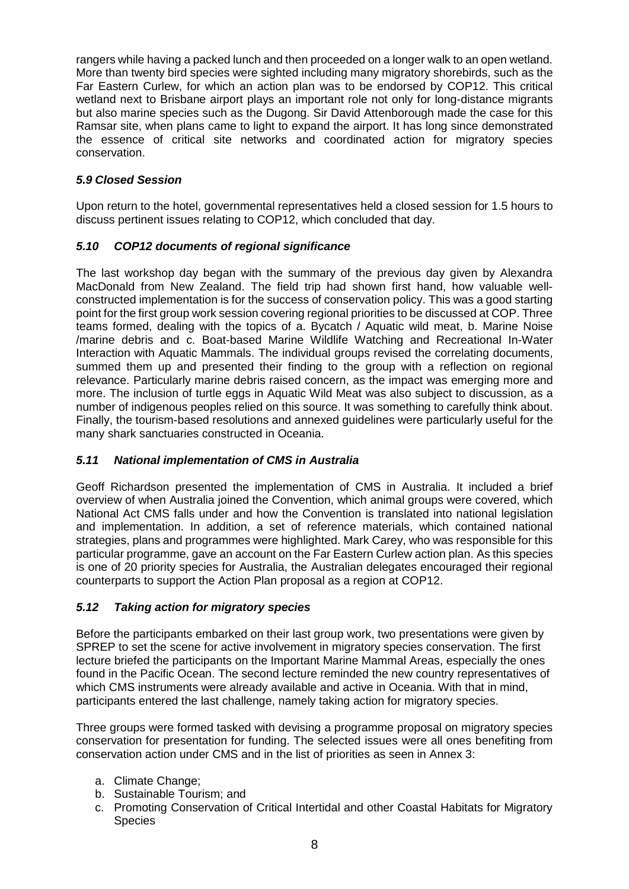rangers while having a packed lunch and then proceeded on a longer walk to an open wetland. More than twenty bird species were sighted including many migratory shorebirds, such as the Far Eastern Curlew, for which an action plan was to be endorsed by COP12. This critical wetland next to Brisbane airport plays an important role not only for long-distance migrants but also marine species such as the Dugong. Sir David Attenborough made the case for this Ramsar site, when plans came to light to expand the airport. It has long since demonstrated the essence of critical site networks and coordinated action for migratory species conservation.

# *5.9 Closed Session*

Upon return to the hotel, governmental representatives held a closed session for 1.5 hours to discuss pertinent issues relating to COP12, which concluded that day.

# *5.10 COP12 documents of regional significance*

The last workshop day began with the summary of the previous day given by Alexandra MacDonald from New Zealand. The field trip had shown first hand, how valuable wellconstructed implementation is for the success of conservation policy. This was a good starting point for the first group work session covering regional priorities to be discussed at COP. Three teams formed, dealing with the topics of a. Bycatch / Aquatic wild meat, b. Marine Noise /marine debris and c. Boat-based Marine Wildlife Watching and Recreational In-Water Interaction with Aquatic Mammals. The individual groups revised the correlating documents, summed them up and presented their finding to the group with a reflection on regional relevance. Particularly marine debris raised concern, as the impact was emerging more and more. The inclusion of turtle eggs in Aquatic Wild Meat was also subject to discussion, as a number of indigenous peoples relied on this source. It was something to carefully think about. Finally, the tourism-based resolutions and annexed guidelines were particularly useful for the many shark sanctuaries constructed in Oceania.

# *5.11 National implementation of CMS in Australia*

Geoff Richardson presented the implementation of CMS in Australia. It included a brief overview of when Australia joined the Convention, which animal groups were covered, which National Act CMS falls under and how the Convention is translated into national legislation and implementation. In addition, a set of reference materials, which contained national strategies, plans and programmes were highlighted. Mark Carey, who was responsible for this particular programme, gave an account on the Far Eastern Curlew action plan. As this species is one of 20 priority species for Australia, the Australian delegates encouraged their regional counterparts to support the Action Plan proposal as a region at COP12.

# *5.12 Taking action for migratory species*

Before the participants embarked on their last group work, two presentations were given by SPREP to set the scene for active involvement in migratory species conservation. The first lecture briefed the participants on the Important Marine Mammal Areas, especially the ones found in the Pacific Ocean. The second lecture reminded the new country representatives of which CMS instruments were already available and active in Oceania. With that in mind, participants entered the last challenge, namely taking action for migratory species.

Three groups were formed tasked with devising a programme proposal on migratory species conservation for presentation for funding. The selected issues were all ones benefiting from conservation action under CMS and in the list of priorities as seen in Annex 3:

- a. Climate Change;
- b. Sustainable Tourism; and
- c. Promoting Conservation of Critical Intertidal and other Coastal Habitats for Migratory **Species**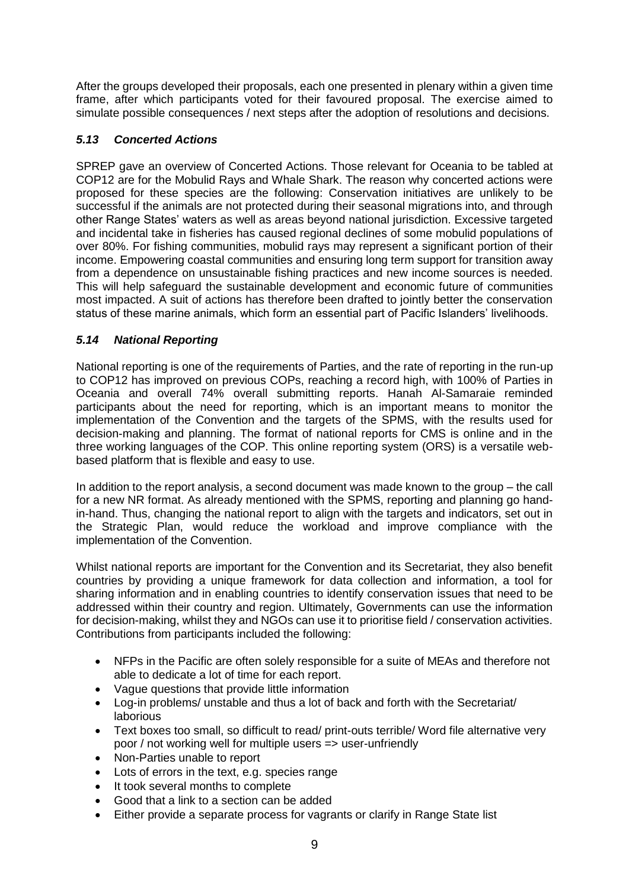After the groups developed their proposals, each one presented in plenary within a given time frame, after which participants voted for their favoured proposal. The exercise aimed to simulate possible consequences / next steps after the adoption of resolutions and decisions.

### *5.13 Concerted Actions*

SPREP gave an overview of Concerted Actions. Those relevant for Oceania to be tabled at COP12 are for the Mobulid Rays and Whale Shark. The reason why concerted actions were proposed for these species are the following: Conservation initiatives are unlikely to be successful if the animals are not protected during their seasonal migrations into, and through other Range States' waters as well as areas beyond national jurisdiction. Excessive targeted and incidental take in fisheries has caused regional declines of some mobulid populations of over 80%. For fishing communities, mobulid rays may represent a significant portion of their income. Empowering coastal communities and ensuring long term support for transition away from a dependence on unsustainable fishing practices and new income sources is needed. This will help safeguard the sustainable development and economic future of communities most impacted. A suit of actions has therefore been drafted to jointly better the conservation status of these marine animals, which form an essential part of Pacific Islanders' livelihoods.

# *5.14 National Reporting*

National reporting is one of the requirements of Parties, and the rate of reporting in the run-up to COP12 has improved on previous COPs, reaching a record high, with 100% of Parties in Oceania and overall 74% overall submitting reports. Hanah Al-Samaraie reminded participants about the need for reporting, which is an important means to monitor the implementation of the Convention and the targets of the SPMS, with the results used for decision-making and planning. The format of national reports for CMS is online and in the three working languages of the COP. This online reporting system (ORS) is a versatile webbased platform that is flexible and easy to use.

In addition to the report analysis, a second document was made known to the group – the call for a new NR format. As already mentioned with the SPMS, reporting and planning go handin-hand. Thus, changing the national report to align with the targets and indicators, set out in the Strategic Plan, would reduce the workload and improve compliance with the implementation of the Convention.

Whilst national reports are important for the Convention and its Secretariat, they also benefit countries by providing a unique framework for data collection and information, a tool for sharing information and in enabling countries to identify conservation issues that need to be addressed within their country and region. Ultimately, Governments can use the information for decision-making, whilst they and NGOs can use it to prioritise field / conservation activities. Contributions from participants included the following:

- NFPs in the Pacific are often solely responsible for a suite of MEAs and therefore not able to dedicate a lot of time for each report.
- Vague questions that provide little information
- Log-in problems/ unstable and thus a lot of back and forth with the Secretariat/ laborious
- Text boxes too small, so difficult to read/ print-outs terrible/ Word file alternative very poor / not working well for multiple users => user-unfriendly
- Non-Parties unable to report
- Lots of errors in the text, e.g. species range
- It took several months to complete
- Good that a link to a section can be added
- Either provide a separate process for vagrants or clarify in Range State list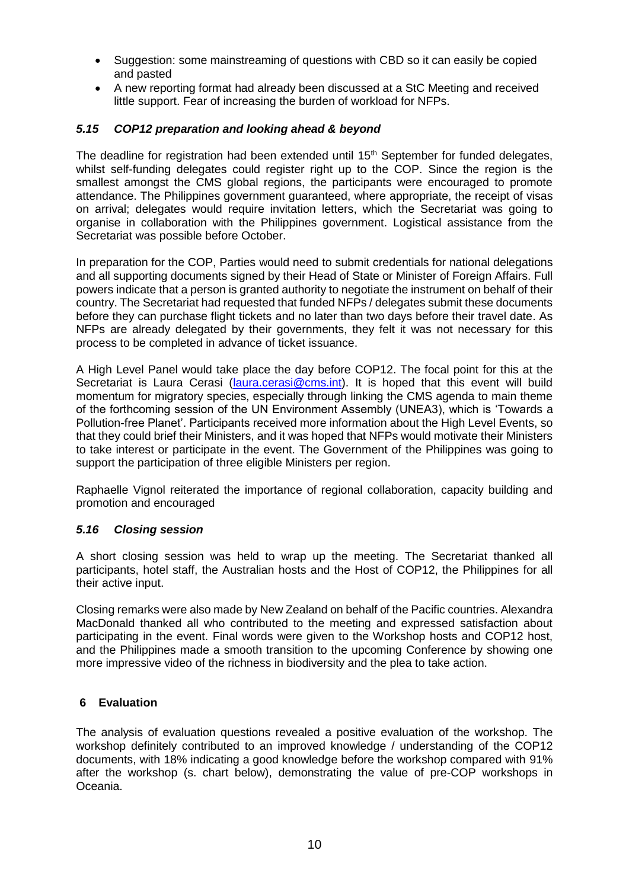- Suggestion: some mainstreaming of questions with CBD so it can easily be copied and pasted
- A new reporting format had already been discussed at a StC Meeting and received little support. Fear of increasing the burden of workload for NFPs.

#### *5.15 COP12 preparation and looking ahead & beyond*

The deadline for registration had been extended until  $15<sup>th</sup>$  September for funded delegates, whilst self-funding delegates could register right up to the COP. Since the region is the smallest amongst the CMS global regions, the participants were encouraged to promote attendance. The Philippines government guaranteed, where appropriate, the receipt of visas on arrival; delegates would require invitation letters, which the Secretariat was going to organise in collaboration with the Philippines government. Logistical assistance from the Secretariat was possible before October.

In preparation for the COP, Parties would need to submit credentials for national delegations and all supporting documents signed by their Head of State or Minister of Foreign Affairs. Full powers indicate that a person is granted authority to negotiate the instrument on behalf of their country. The Secretariat had requested that funded NFPs / delegates submit these documents before they can purchase flight tickets and no later than two days before their travel date. As NFPs are already delegated by their governments, they felt it was not necessary for this process to be completed in advance of ticket issuance.

A High Level Panel would take place the day before COP12. The focal point for this at the Secretariat is Laura Cerasi [\(laura.cerasi@cms.int\)](mailto:laura.cerasi@cms.int). It is hoped that this event will build momentum for migratory species, especially through linking the CMS agenda to main theme of the forthcoming session of the UN Environment Assembly (UNEA3), which is 'Towards a Pollution-free Planet'. Participants received more information about the High Level Events, so that they could brief their Ministers, and it was hoped that NFPs would motivate their Ministers to take interest or participate in the event. The Government of the Philippines was going to support the participation of three eligible Ministers per region.

Raphaelle Vignol reiterated the importance of regional collaboration, capacity building and promotion and encouraged

#### *5.16 Closing session*

A short closing session was held to wrap up the meeting. The Secretariat thanked all participants, hotel staff, the Australian hosts and the Host of COP12, the Philippines for all their active input.

Closing remarks were also made by New Zealand on behalf of the Pacific countries. Alexandra MacDonald thanked all who contributed to the meeting and expressed satisfaction about participating in the event. Final words were given to the Workshop hosts and COP12 host, and the Philippines made a smooth transition to the upcoming Conference by showing one more impressive video of the richness in biodiversity and the plea to take action.

# **6 Evaluation**

The analysis of evaluation questions revealed a positive evaluation of the workshop. The workshop definitely contributed to an improved knowledge / understanding of the COP12 documents, with 18% indicating a good knowledge before the workshop compared with 91% after the workshop (s. chart below), demonstrating the value of pre-COP workshops in Oceania.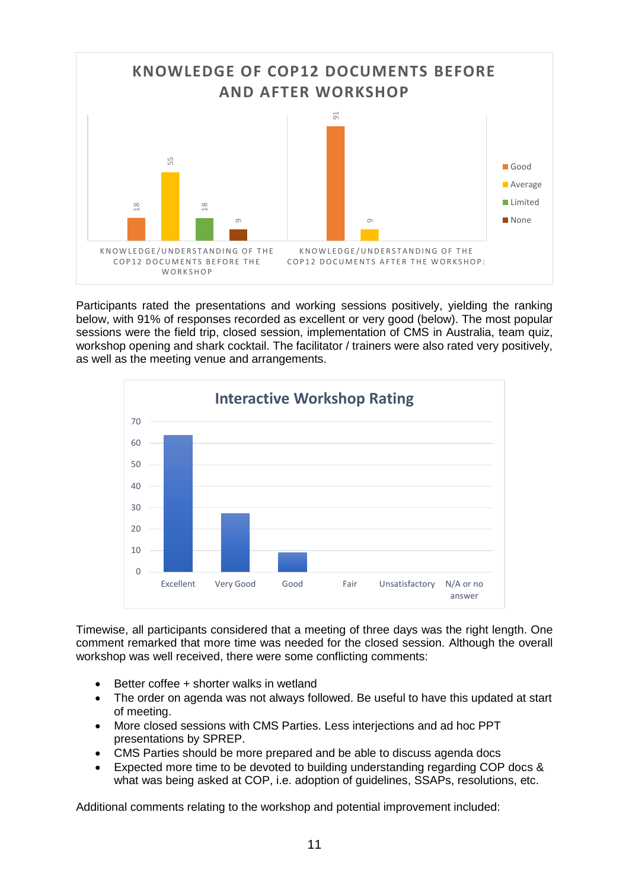

Participants rated the presentations and working sessions positively, yielding the ranking below, with 91% of responses recorded as excellent or very good (below). The most popular sessions were the field trip, closed session, implementation of CMS in Australia, team quiz, workshop opening and shark cocktail. The facilitator / trainers were also rated very positively, as well as the meeting venue and arrangements.



Timewise, all participants considered that a meeting of three days was the right length. One comment remarked that more time was needed for the closed session. Although the overall workshop was well received, there were some conflicting comments:

- Better coffee + shorter walks in wetland
- The order on agenda was not always followed. Be useful to have this updated at start of meeting.
- More closed sessions with CMS Parties. Less interjections and ad hoc PPT presentations by SPREP.
- CMS Parties should be more prepared and be able to discuss agenda docs
- Expected more time to be devoted to building understanding regarding COP docs & what was being asked at COP, i.e. adoption of guidelines, SSAPs, resolutions, etc.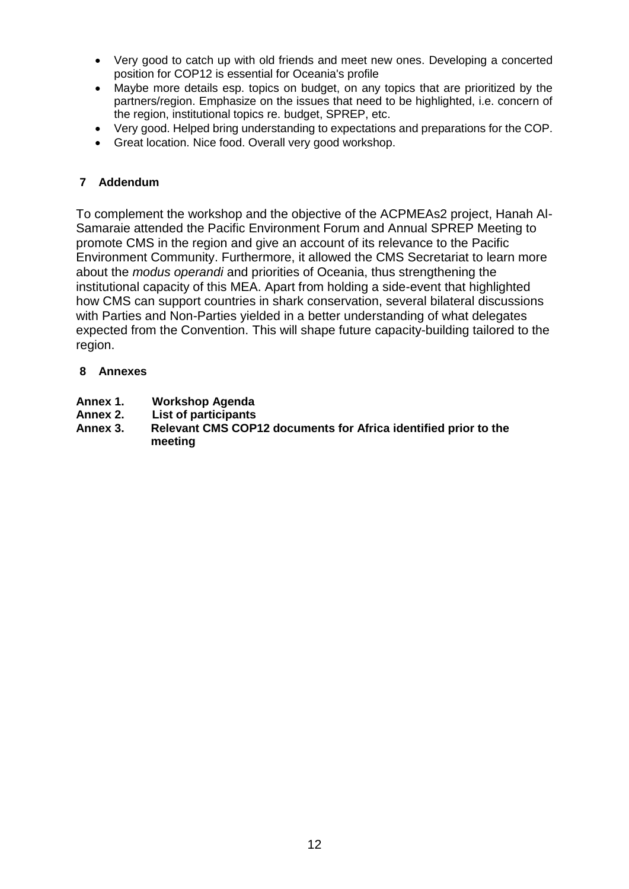- Very good to catch up with old friends and meet new ones. Developing a concerted position for COP12 is essential for Oceania's profile
- Maybe more details esp. topics on budget, on any topics that are prioritized by the partners/region. Emphasize on the issues that need to be highlighted, i.e. concern of the region, institutional topics re. budget, SPREP, etc.
- Very good. Helped bring understanding to expectations and preparations for the COP.
- Great location. Nice food. Overall very good workshop.

# **7 Addendum**

To complement the workshop and the objective of the ACPMEAs2 project, Hanah Al-Samaraie attended the Pacific Environment Forum and Annual SPREP Meeting to promote CMS in the region and give an account of its relevance to the Pacific Environment Community. Furthermore, it allowed the CMS Secretariat to learn more about the *modus operandi* and priorities of Oceania, thus strengthening the institutional capacity of this MEA. Apart from holding a side-event that highlighted how CMS can support countries in shark conservation, several bilateral discussions with Parties and Non-Parties yielded in a better understanding of what delegates expected from the Convention. This will shape future capacity-building tailored to the region.

# **8 Annexes**

- **Annex 1. Workshop Agenda**
- **Annex 2. List of participants**
- **Annex 3. Relevant CMS COP12 documents for Africa identified prior to the meeting**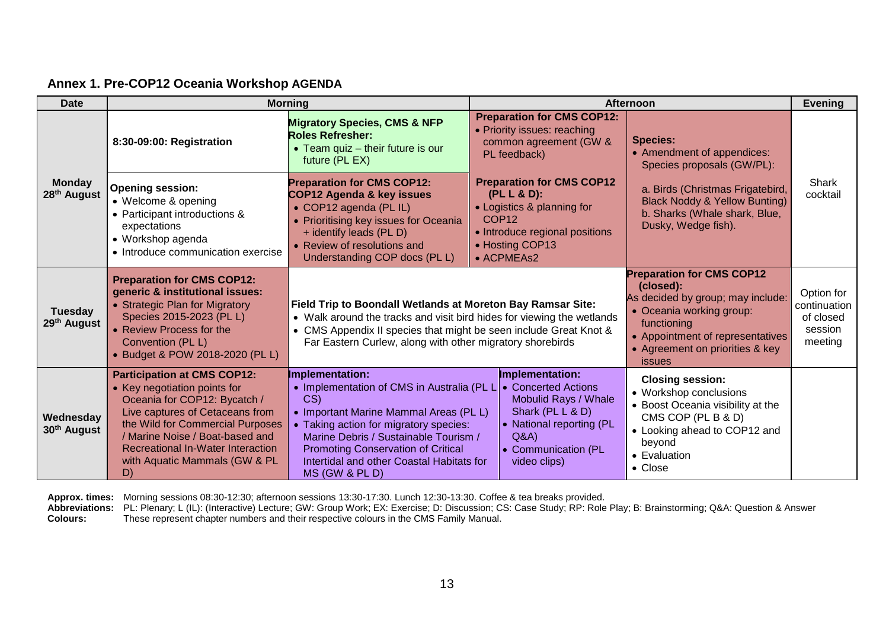| <b>Date</b>                               | <b>Morning</b>                                                                                                                                                                                                                                                                                  |                                                                                                                                                                                                                                                                                                                                            | <b>Afternoon</b>                                                                                                                                                      |                                                                                                                                                                                                                       | <b>Evening</b>                                                |
|-------------------------------------------|-------------------------------------------------------------------------------------------------------------------------------------------------------------------------------------------------------------------------------------------------------------------------------------------------|--------------------------------------------------------------------------------------------------------------------------------------------------------------------------------------------------------------------------------------------------------------------------------------------------------------------------------------------|-----------------------------------------------------------------------------------------------------------------------------------------------------------------------|-----------------------------------------------------------------------------------------------------------------------------------------------------------------------------------------------------------------------|---------------------------------------------------------------|
|                                           | 8:30-09:00: Registration                                                                                                                                                                                                                                                                        | <b>Migratory Species, CMS &amp; NFP</b><br><b>Roles Refresher:</b><br>• Team quiz - their future is our<br>future (PL EX)                                                                                                                                                                                                                  | <b>Preparation for CMS COP12:</b><br>• Priority issues: reaching<br>common agreement (GW &<br>PL feedback)                                                            | <b>Species:</b><br>• Amendment of appendices:<br>Species proposals (GW/PL):                                                                                                                                           |                                                               |
| <b>Monday</b><br>28 <sup>th</sup> August  | <b>Opening session:</b><br>• Welcome & opening<br>• Participant introductions &<br>expectations<br>• Workshop agenda<br>• Introduce communication exercise                                                                                                                                      | <b>Preparation for CMS COP12:</b><br><b>COP12 Agenda &amp; key issues</b><br>• COP12 agenda (PL IL)<br>• Prioritising key issues for Oceania<br>+ identify leads (PL D)<br>• Review of resolutions and<br>Understanding COP docs (PL L)                                                                                                    | <b>Preparation for CMS COP12</b><br>(PL L & D):<br>• Logistics & planning for<br>COP <sub>12</sub><br>• Introduce regional positions<br>• Hosting COP13<br>• ACPMEAs2 | a. Birds (Christmas Frigatebird,<br><b>Black Noddy &amp; Yellow Bunting)</b><br>b. Sharks (Whale shark, Blue,<br>Dusky, Wedge fish).                                                                                  | Shark<br>cocktail                                             |
| <b>Tuesday</b><br>29 <sup>th</sup> August | <b>Preparation for CMS COP12:</b><br>generic & institutional issues:<br>• Strategic Plan for Migratory<br>Species 2015-2023 (PL L)<br>• Review Process for the<br>Convention (PL L)<br>• Budget & POW 2018-2020 (PL L)                                                                          | Field Trip to Boondall Wetlands at Moreton Bay Ramsar Site:<br>• Walk around the tracks and visit bird hides for viewing the wetlands<br>• CMS Appendix II species that might be seen include Great Knot &<br>Far Eastern Curlew, along with other migratory shorebirds                                                                    |                                                                                                                                                                       | <b>Preparation for CMS COP12</b><br>(closed):<br>As decided by group; may include:<br>• Oceania working group:<br>functioning<br>• Appointment of representatives<br>• Agreement on priorities & key<br><i>issues</i> | Option for<br>continuation<br>of closed<br>session<br>meeting |
| Wednesday<br>30 <sup>th</sup> August      | <b>Participation at CMS COP12:</b><br>• Key negotiation points for<br>Oceania for COP12: Bycatch /<br>Live captures of Cetaceans from<br>the Wild for Commercial Purposes<br>/ Marine Noise / Boat-based and<br><b>Recreational In-Water Interaction</b><br>with Aquatic Mammals (GW & PL<br>D) | <b>Implementation:</b><br>• Implementation of CMS in Australia (PL L   • Concerted Actions<br>CS)<br>• Important Marine Mammal Areas (PL L)<br>• Taking action for migratory species:<br>Marine Debris / Sustainable Tourism /<br><b>Promoting Conservation of Critical</b><br>Intertidal and other Coastal Habitats for<br>MS (GW & PL D) | <b>Implementation:</b><br>Mobulid Rays / Whale<br>Shark (PL L & D)<br>• National reporting (PL<br>Q&A<br>• Communication (PL<br>video clips)                          | <b>Closing session:</b><br>• Workshop conclusions<br>• Boost Oceania visibility at the<br>CMS COP (PL B & D)<br>• Looking ahead to COP12 and<br>beyond<br>• Evaluation<br>• Close                                     |                                                               |

### **Annex 1. Pre-COP12 Oceania Workshop AGENDA**

**Approx. times:** Morning sessions 08:30-12:30; afternoon sessions 13:30-17:30. Lunch 12:30-13:30. Coffee & tea breaks provided.

**Abbreviations:** PL: Plenary; L (IL): (Interactive) Lecture; GW: Group Work; EX: Exercise; D: Discussion; CS: Case Study; RP: Role Play; B: Brainstorming; Q&A: Question & Answer **Colours:** These represent chapter numbers and their respective colours in the CMS Family Manual.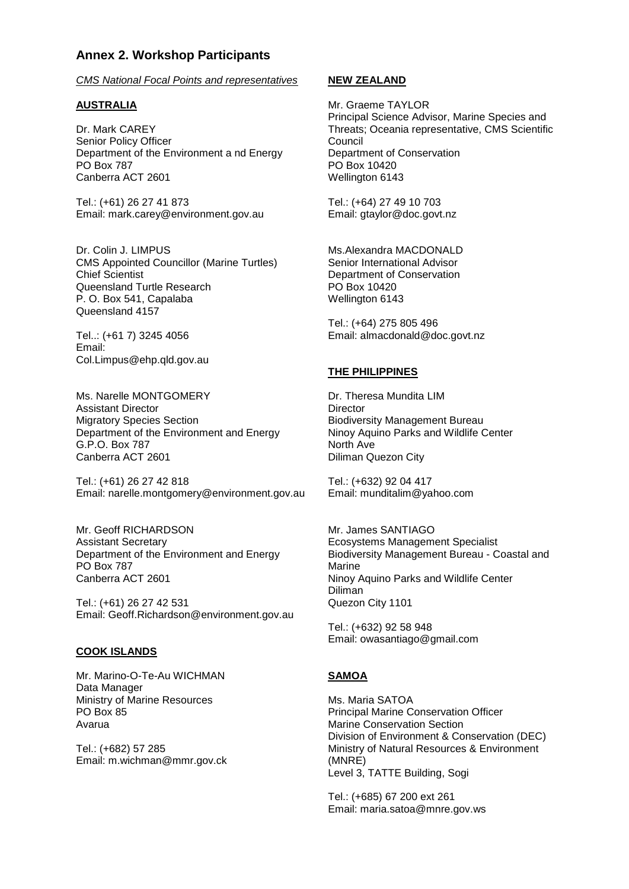### **Annex 2. Workshop Participants**

*CMS National Focal Points and representatives*

#### **AUSTRALIA**

Dr. Mark CAREY Senior Policy Officer Department of the Environment a nd Energy PO Box 787 Canberra ACT 2601

Tel.: (+61) 26 27 41 873 Email: mark.carey@environment.gov.au

Dr. Colin J. LIMPUS CMS Appointed Councillor (Marine Turtles) Chief Scientist Queensland Turtle Research P. O. Box 541, Capalaba Queensland 4157

Tel..: (+61 7) 3245 4056 Email: Col.Limpus@ehp.qld.gov.au

Ms. Narelle MONTGOMERY Assistant Director Migratory Species Section Department of the Environment and Energy G.P.O. Box 787 Canberra ACT 2601

Tel.: (+61) 26 27 42 818 Email: narelle.montgomery@environment.gov.au

Mr. Geoff RICHARDSON Assistant Secretary Department of the Environment and Energy PO Box 787 Canberra ACT 2601

Tel.: (+61) 26 27 42 531 Email: Geoff.Richardson@environment.gov.au

#### **COOK ISLANDS**

Mr. Marino-O-Te-Au WICHMAN Data Manager Ministry of Marine Resources PO Box 85 Avarua

Tel.: (+682) 57 285 Email: m.wichman@mmr.gov.ck

#### **NEW ZEALAND**

Mr. Graeme TAYLOR Principal Science Advisor, Marine Species and Threats; Oceania representative, CMS Scientific Council Department of Conservation PO Box 10420 Wellington 6143

Tel.: (+64) 27 49 10 703 Email: gtaylor@doc.govt.nz

Ms.Alexandra MACDONALD Senior International Advisor Department of Conservation PO Box 10420 Wellington 6143

Tel.: (+64) 275 805 496 Email: almacdonald@doc.govt.nz

#### **THE PHILIPPINES**

Dr. Theresa Mundita LIM **Director** Biodiversity Management Bureau Ninoy Aquino Parks and Wildlife Center North Ave Diliman Quezon City

Tel.: (+632) 92 04 417 Email: munditalim@yahoo.com

Mr. James SANTIAGO Ecosystems Management Specialist Biodiversity Management Bureau - Coastal and Marine Ninoy Aquino Parks and Wildlife Center Diliman Quezon City 1101

Tel.: (+632) 92 58 948 Email: owasantiago@gmail.com

#### **SAMOA**

Ms. Maria SATOA Principal Marine Conservation Officer Marine Conservation Section Division of Environment & Conservation (DEC) Ministry of Natural Resources & Environment (MNRE) Level 3, TATTE Building, Sogi

Tel.: (+685) 67 200 ext 261 Email: maria.satoa@mnre.gov.ws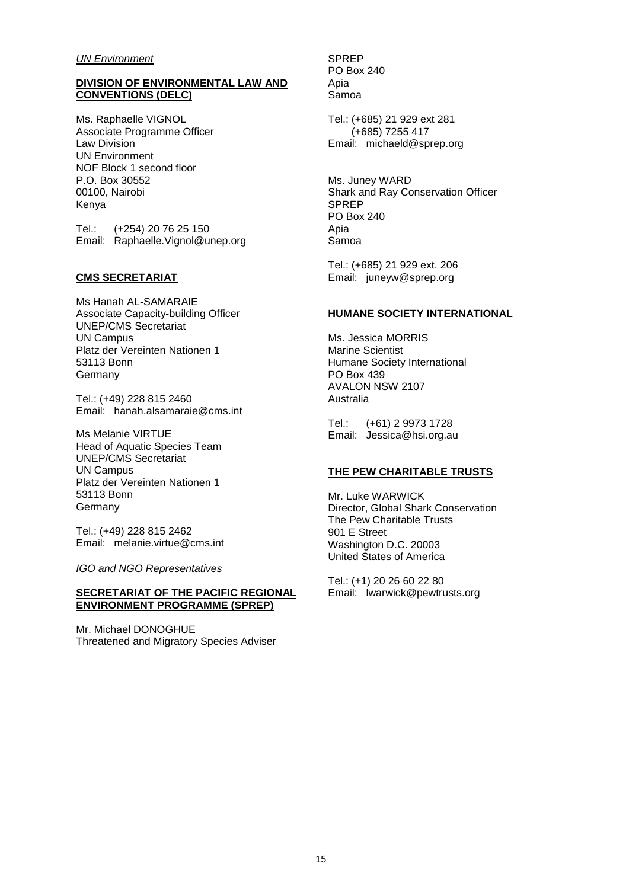#### *UN Environment*

#### **DIVISION OF ENVIRONMENTAL LAW AND CONVENTIONS (DELC)**

Ms. Raphaelle VIGNOL Associate Programme Officer Law Division UN Environment NOF Block 1 second floor P.O. Box 30552 00100, Nairobi Kenya

Tel.: (+254) 20 76 25 150 Email: Raphaelle.Vignol@unep.org

#### **CMS SECRETARIAT**

Ms Hanah AL-SAMARAIE Associate Capacity-building Officer UNEP/CMS Secretariat UN Campus Platz der Vereinten Nationen 1 53113 Bonn **Germany** 

Tel.: (+49) 228 815 2460 Email: hanah.alsamaraie@cms.int

Ms Melanie VIRTUE Head of Aquatic Species Team UNEP/CMS Secretariat UN Campus Platz der Vereinten Nationen 1 53113 Bonn Germany

Tel.: (+49) 228 815 2462 Email: melanie.virtue@cms.int

*IGO and NGO Representatives*

#### **SECRETARIAT OF THE PACIFIC REGIONAL ENVIRONMENT PROGRAMME (SPREP)**

Mr. Michael DONOGHUE Threatened and Migratory Species Adviser SPREP PO Box 240 Apia Samoa

Tel.: (+685) 21 929 ext 281 (+685) 7255 417 Email: michaeld@sprep.org

Ms. Juney WARD Shark and Ray Conservation Officer SPREP PO Box 240 Apia Samoa

Tel.: (+685) 21 929 ext. 206 Email: juneyw@sprep.org

#### **HUMANE SOCIETY INTERNATIONAL**

Ms. Jessica MORRIS Marine Scientist Humane Society International PO Box 439 AVALON NSW 2107 Australia

Tel.: (+61) 2 9973 1728 Email: Jessica@hsi.org.au

#### **THE PEW CHARITABLE TRUSTS**

Mr. Luke WARWICK Director, Global Shark Conservation The Pew Charitable Trusts 901 E Street Washington D.C. 20003 United States of America

Tel.: (+1) 20 26 60 22 80 Email: lwarwick@pewtrusts.org